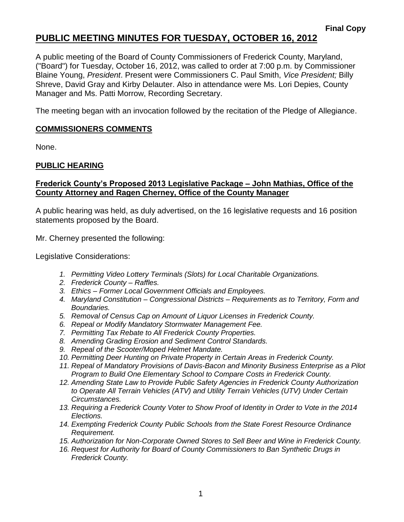# **PUBLIC MEETING MINUTES FOR TUESDAY, OCTOBER 16, 2012**

A public meeting of the Board of County Commissioners of Frederick County, Maryland, ("Board") for Tuesday, October 16, 2012, was called to order at 7:00 p.m. by Commissioner Blaine Young, *President*. Present were Commissioners C. Paul Smith, *Vice President;* Billy Shreve, David Gray and Kirby Delauter. Also in attendance were Ms. Lori Depies, County Manager and Ms. Patti Morrow, Recording Secretary.

The meeting began with an invocation followed by the recitation of the Pledge of Allegiance.

### **COMMISSIONERS COMMENTS**

None.

### **PUBLIC HEARING**

### **Frederick County's Proposed 2013 Legislative Package – John Mathias, Office of the County Attorney and Ragen Cherney, Office of the County Manager**

A public hearing was held, as duly advertised, on the 16 legislative requests and 16 position statements proposed by the Board.

Mr. Cherney presented the following:

Legislative Considerations:

- *1. Permitting Video Lottery Terminals (Slots) for Local Charitable Organizations.*
- *2. Frederick County – Raffles.*
- *3. Ethics – Former Local Government Officials and Employees.*
- *4. Maryland Constitution – Congressional Districts – Requirements as to Territory, Form and Boundaries.*
- *5. Removal of Census Cap on Amount of Liquor Licenses in Frederick County.*
- *6. Repeal or Modify Mandatory Stormwater Management Fee.*
- *7. Permitting Tax Rebate to All Frederick County Properties.*
- *8. Amending Grading Erosion and Sediment Control Standards.*
- *9. Repeal of the Scooter/Moped Helmet Mandate.*
- *10. Permitting Deer Hunting on Private Property in Certain Areas in Frederick County.*
- *11. Repeal of Mandatory Provisions of Davis-Bacon and Minority Business Enterprise as a Pilot Program to Build One Elementary School to Compare Costs in Frederick County.*
- *12. Amending State Law to Provide Public Safety Agencies in Frederick County Authorization to Operate All Terrain Vehicles (ATV) and Utility Terrain Vehicles (UTV) Under Certain Circumstances.*
- *13. Requiring a Frederick County Voter to Show Proof of Identity in Order to Vote in the 2014 Elections.*
- *14. Exempting Frederick County Public Schools from the State Forest Resource Ordinance Requirement.*
- *15. Authorization for Non-Corporate Owned Stores to Sell Beer and Wine in Frederick County.*
- *16. Request for Authority for Board of County Commissioners to Ban Synthetic Drugs in Frederick County.*